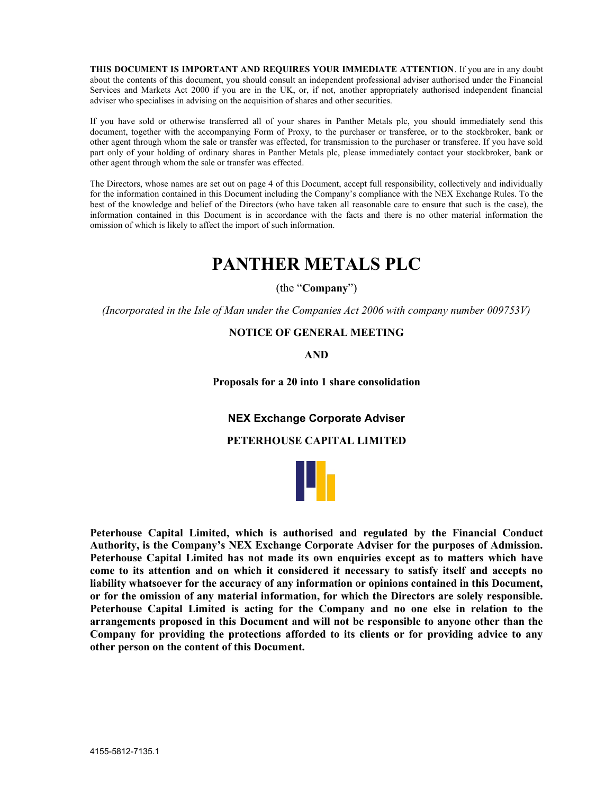THIS DOCUMENT IS IMPORTANT AND REQUIRES YOUR IMMEDIATE ATTENTION. If you are in any doubt about the contents of this document, you should consult an independent professional adviser authorised under the Financial Services and Markets Act 2000 if you are in the UK, or, if not, another appropriately authorised independent financial adviser who specialises in advising on the acquisition of shares and other securities.

If you have sold or otherwise transferred all of your shares in Panther Metals plc, you should immediately send this document, together with the accompanying Form of Proxy, to the purchaser or transferee, or to the stockbroker, bank or other agent through whom the sale or transfer was effected, for transmission to the purchaser or transferee. If you have sold part only of your holding of ordinary shares in Panther Metals plc, please immediately contact your stockbroker, bank or other agent through whom the sale or transfer was effected.

The Directors, whose names are set out on page 4 of this Document, accept full responsibility, collectively and individually for the information contained in this Document including the Company's compliance with the NEX Exchange Rules. To the best of the knowledge and belief of the Directors (who have taken all reasonable care to ensure that such is the case), the information contained in this Document is in accordance with the facts and there is no other material information the omission of which is likely to affect the import of such information.

# PANTHER METALS PLC

(the "Company")

(Incorporated in the Isle of Man under the Companies Act 2006 with company number 009753V)

### NOTICE OF GENERAL MEETING

AND

Proposals for a 20 into 1 share consolidation

NEX Exchange Corporate Adviser

### PETERHOUSE CAPITAL LIMITED



Peterhouse Capital Limited, which is authorised and regulated by the Financial Conduct Authority, is the Company's NEX Exchange Corporate Adviser for the purposes of Admission. Peterhouse Capital Limited has not made its own enquiries except as to matters which have come to its attention and on which it considered it necessary to satisfy itself and accepts no liability whatsoever for the accuracy of any information or opinions contained in this Document, or for the omission of any material information, for which the Directors are solely responsible. Peterhouse Capital Limited is acting for the Company and no one else in relation to the arrangements proposed in this Document and will not be responsible to anyone other than the Company for providing the protections afforded to its clients or for providing advice to any other person on the content of this Document.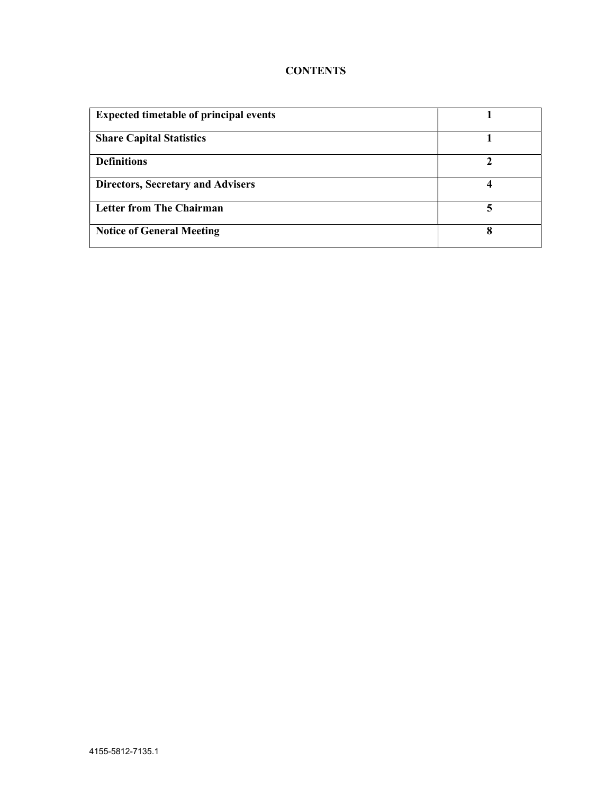# **CONTENTS**

| <b>Expected timetable of principal events</b> |   |
|-----------------------------------------------|---|
| <b>Share Capital Statistics</b>               |   |
| <b>Definitions</b>                            |   |
| <b>Directors, Secretary and Advisers</b>      |   |
| <b>Letter from The Chairman</b>               | 5 |
| <b>Notice of General Meeting</b>              | 8 |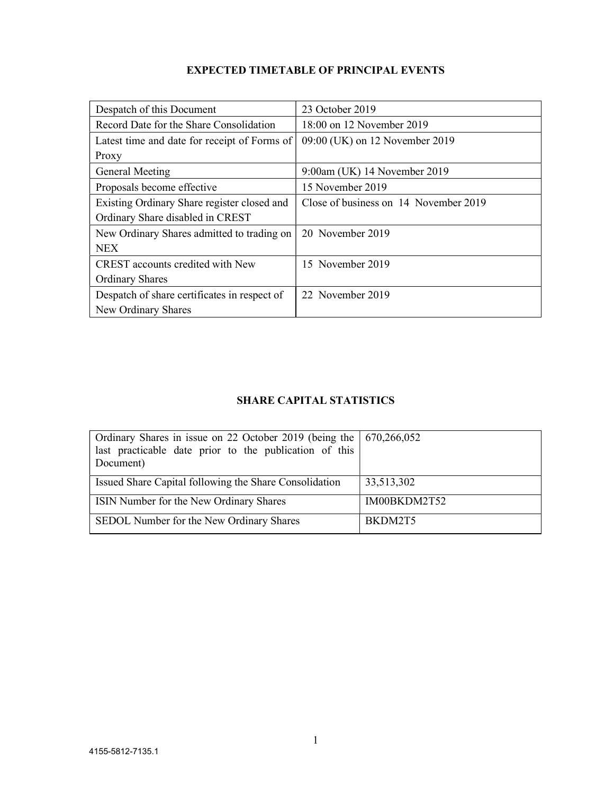| Despatch of this Document                    | 23 October 2019                       |
|----------------------------------------------|---------------------------------------|
| Record Date for the Share Consolidation      | 18:00 on 12 November 2019             |
| Latest time and date for receipt of Forms of | 09:00 (UK) on 12 November 2019        |
| Proxy                                        |                                       |
| General Meeting                              | 9:00am (UK) 14 November 2019          |
| Proposals become effective                   | 15 November 2019                      |
| Existing Ordinary Share register closed and  | Close of business on 14 November 2019 |
| Ordinary Share disabled in CREST             |                                       |
| New Ordinary Shares admitted to trading on   | 20 November 2019                      |
| <b>NEX</b>                                   |                                       |
| CREST accounts credited with New             | 15 November 2019                      |
| <b>Ordinary Shares</b>                       |                                       |
| Despatch of share certificates in respect of | 22 November 2019                      |
| New Ordinary Shares                          |                                       |

# EXPECTED TIMETABLE OF PRINCIPAL EVENTS

# SHARE CAPITAL STATISTICS

| Ordinary Shares in issue on 22 October 2019 (being the   670,266,052<br>last practicable date prior to the publication of this<br>Document) |              |
|---------------------------------------------------------------------------------------------------------------------------------------------|--------------|
| Issued Share Capital following the Share Consolidation                                                                                      | 33,513,302   |
| ISIN Number for the New Ordinary Shares                                                                                                     | IM00BKDM2T52 |
| SEDOL Number for the New Ordinary Shares                                                                                                    | BKDM2T5      |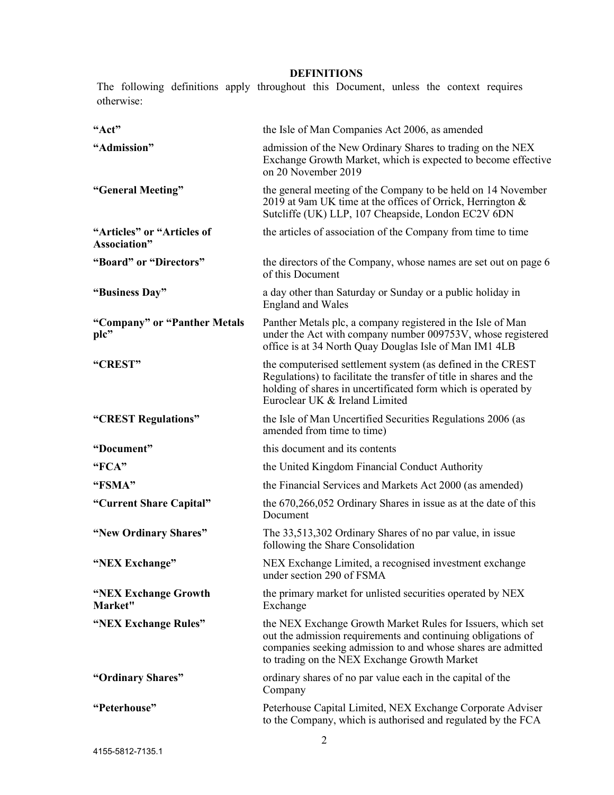# DEFINITIONS

The following definitions apply throughout this Document, unless the context requires otherwise:

| "Act"                                      | the Isle of Man Companies Act 2006, as amended                                                                                                                                                                                              |
|--------------------------------------------|---------------------------------------------------------------------------------------------------------------------------------------------------------------------------------------------------------------------------------------------|
| "Admission"                                | admission of the New Ordinary Shares to trading on the NEX<br>Exchange Growth Market, which is expected to become effective<br>on 20 November 2019                                                                                          |
| "General Meeting"                          | the general meeting of the Company to be held on 14 November<br>2019 at 9am UK time at the offices of Orrick, Herrington &<br>Sutcliffe (UK) LLP, 107 Cheapside, London EC2V 6DN                                                            |
| "Articles" or "Articles of<br>Association" | the articles of association of the Company from time to time                                                                                                                                                                                |
| "Board" or "Directors"                     | the directors of the Company, whose names are set out on page 6<br>of this Document                                                                                                                                                         |
| "Business Day"                             | a day other than Saturday or Sunday or a public holiday in<br><b>England and Wales</b>                                                                                                                                                      |
| "Company" or "Panther Metals<br>plc"       | Panther Metals plc, a company registered in the Isle of Man<br>under the Act with company number 009753V, whose registered<br>office is at 34 North Quay Douglas Isle of Man IM1 4LB                                                        |
| "CREST"                                    | the computerised settlement system (as defined in the CREST<br>Regulations) to facilitate the transfer of title in shares and the<br>holding of shares in uncertificated form which is operated by<br>Euroclear UK & Ireland Limited        |
| "CREST Regulations"                        | the Isle of Man Uncertified Securities Regulations 2006 (as<br>amended from time to time)                                                                                                                                                   |
| "Document"                                 | this document and its contents                                                                                                                                                                                                              |
| "FCA"                                      | the United Kingdom Financial Conduct Authority                                                                                                                                                                                              |
| "FSMA"                                     | the Financial Services and Markets Act 2000 (as amended)                                                                                                                                                                                    |
| "Current Share Capital"                    | the 670,266,052 Ordinary Shares in issue as at the date of this<br>Document                                                                                                                                                                 |
| "New Ordinary Shares"                      | The 33,513,302 Ordinary Shares of no par value, in issue<br>following the Share Consolidation                                                                                                                                               |
| "NEX Exchange"                             | NEX Exchange Limited, a recognised investment exchange<br>under section 290 of FSMA                                                                                                                                                         |
| "NEX Exchange Growth<br>Market"            | the primary market for unlisted securities operated by NEX<br>Exchange                                                                                                                                                                      |
| "NEX Exchange Rules"                       | the NEX Exchange Growth Market Rules for Issuers, which set<br>out the admission requirements and continuing obligations of<br>companies seeking admission to and whose shares are admitted<br>to trading on the NEX Exchange Growth Market |
| "Ordinary Shares"                          | ordinary shares of no par value each in the capital of the<br>Company                                                                                                                                                                       |
| "Peterhouse"                               | Peterhouse Capital Limited, NEX Exchange Corporate Adviser<br>to the Company, which is authorised and regulated by the FCA                                                                                                                  |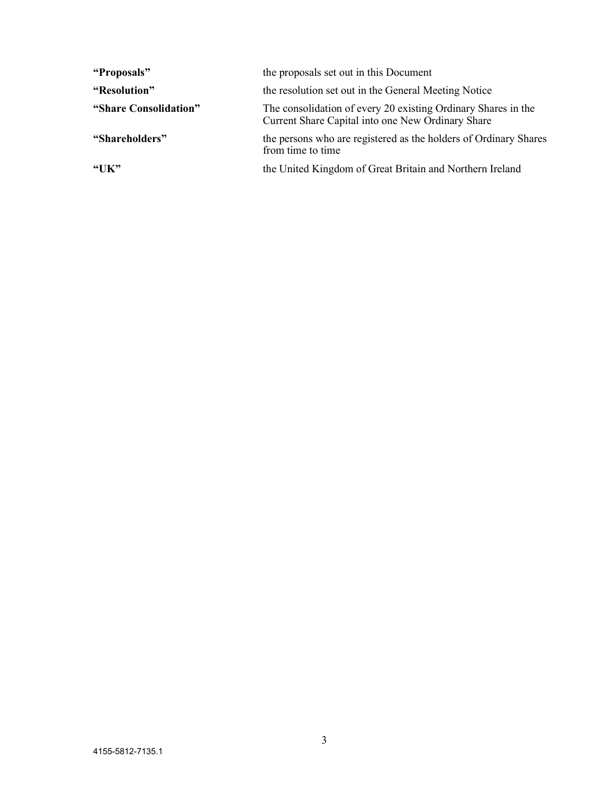| "Proposals"           | the proposals set out in this Document                                                                             |
|-----------------------|--------------------------------------------------------------------------------------------------------------------|
| "Resolution"          | the resolution set out in the General Meeting Notice                                                               |
| "Share Consolidation" | The consolidation of every 20 existing Ordinary Shares in the<br>Current Share Capital into one New Ordinary Share |
| "Shareholders"        | the persons who are registered as the holders of Ordinary Shares<br>from time to time                              |
| "UK"                  | the United Kingdom of Great Britain and Northern Ireland                                                           |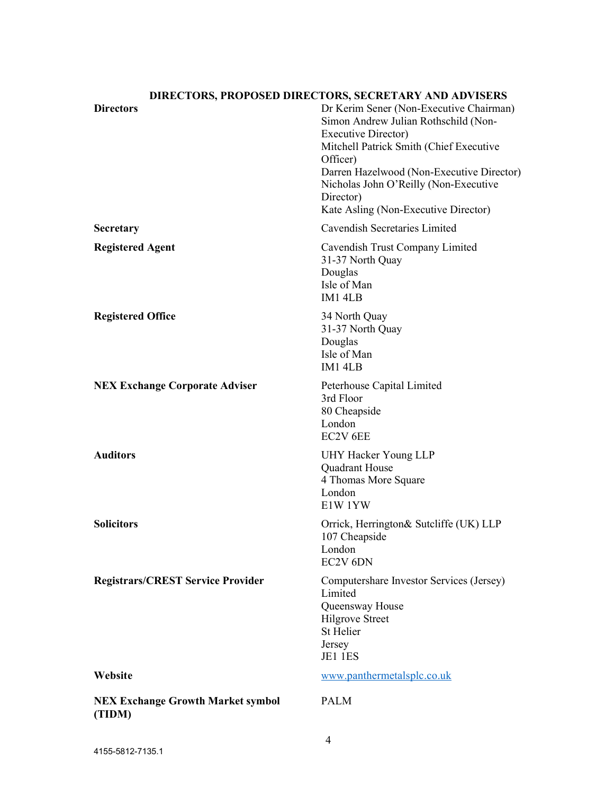# Directors Directors Dr Kerim Sener (Non-Executive Chairman) Simon Andrew Julian Rothschild (Non-Executive Director) Mitchell Patrick Smith (Chief Executive Officer) Darren Hazelwood (Non-Executive Director) Nicholas John O'Reilly (Non-Executive Director) Kate Asling (Non-Executive Director) Secretary Cavendish Secretaries Limited Registered Agent **Cavendish Trust Company Limited** 31-37 North Quay Douglas Isle of Man IM1 4LB Registered Office 34 North Quay 31-37 North Quay Douglas Isle of Man IM1 4LB NEX Exchange Corporate Adviser Peterhouse Capital Limited 3rd Floor 80 Cheapside London EC2V 6EE Auditors UHY Hacker Young LLP Quadrant House 4 Thomas More Square London E1W 1YW Solicitors Orrick, Herrington & Sutcliffe (UK) LLP 107 Cheapside London EC2V 6DN Registrars/CREST Service Provider Computershare Investor Services (Jersey) Limited Queensway House Hilgrove Street St Helier Jersey JE1 1ES Website www.panthermetalsplc.co.uk NEX Exchange Growth Market symbol (TIDM) PALM

# DIRECTORS, PROPOSED DIRECTORS, SECRETARY AND ADVISERS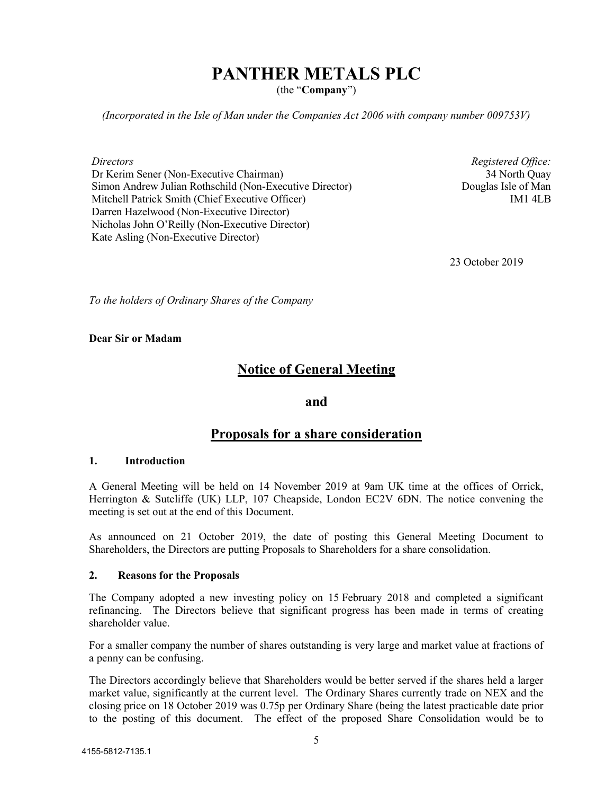# PANTHER METALS PLC

(the "Company")

(Incorporated in the Isle of Man under the Companies Act 2006 with company number 009753V)

**Directors** 

Dr Kerim Sener (Non-Executive Chairman) Simon Andrew Julian Rothschild (Non-Executive Director) Mitchell Patrick Smith (Chief Executive Officer) Darren Hazelwood (Non-Executive Director) Nicholas John O'Reilly (Non-Executive Director) Kate Asling (Non-Executive Director)

Registered Office: 34 North Quay Douglas Isle of Man IM1 4LB

23 October 2019

To the holders of Ordinary Shares of the Company

#### Dear Sir or Madam

# Notice of General Meeting

### and

# Proposals for a share consideration

#### 1. Introduction

A General Meeting will be held on 14 November 2019 at 9am UK time at the offices of Orrick, Herrington & Sutcliffe (UK) LLP, 107 Cheapside, London EC2V 6DN. The notice convening the meeting is set out at the end of this Document.

As announced on 21 October 2019, the date of posting this General Meeting Document to Shareholders, the Directors are putting Proposals to Shareholders for a share consolidation.

#### 2. Reasons for the Proposals

The Company adopted a new investing policy on 15 February 2018 and completed a significant refinancing. The Directors believe that significant progress has been made in terms of creating shareholder value.

For a smaller company the number of shares outstanding is very large and market value at fractions of a penny can be confusing.

The Directors accordingly believe that Shareholders would be better served if the shares held a larger market value, significantly at the current level. The Ordinary Shares currently trade on NEX and the closing price on 18 October 2019 was 0.75p per Ordinary Share (being the latest practicable date prior to the posting of this document. The effect of the proposed Share Consolidation would be to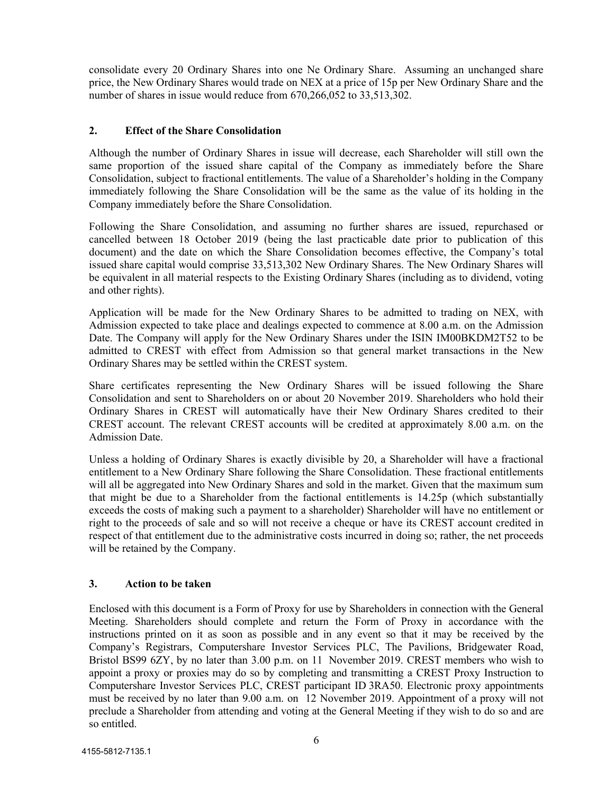consolidate every 20 Ordinary Shares into one Ne Ordinary Share. Assuming an unchanged share price, the New Ordinary Shares would trade on NEX at a price of 15p per New Ordinary Share and the number of shares in issue would reduce from 670,266,052 to 33,513,302.

### 2. Effect of the Share Consolidation

Although the number of Ordinary Shares in issue will decrease, each Shareholder will still own the same proportion of the issued share capital of the Company as immediately before the Share Consolidation, subject to fractional entitlements. The value of a Shareholder's holding in the Company immediately following the Share Consolidation will be the same as the value of its holding in the Company immediately before the Share Consolidation.

Following the Share Consolidation, and assuming no further shares are issued, repurchased or cancelled between 18 October 2019 (being the last practicable date prior to publication of this document) and the date on which the Share Consolidation becomes effective, the Company's total issued share capital would comprise 33,513,302 New Ordinary Shares. The New Ordinary Shares will be equivalent in all material respects to the Existing Ordinary Shares (including as to dividend, voting and other rights).

Application will be made for the New Ordinary Shares to be admitted to trading on NEX, with Admission expected to take place and dealings expected to commence at 8.00 a.m. on the Admission Date. The Company will apply for the New Ordinary Shares under the ISIN IM00BKDM2T52 to be admitted to CREST with effect from Admission so that general market transactions in the New Ordinary Shares may be settled within the CREST system.

Share certificates representing the New Ordinary Shares will be issued following the Share Consolidation and sent to Shareholders on or about 20 November 2019. Shareholders who hold their Ordinary Shares in CREST will automatically have their New Ordinary Shares credited to their CREST account. The relevant CREST accounts will be credited at approximately 8.00 a.m. on the Admission Date.

Unless a holding of Ordinary Shares is exactly divisible by 20, a Shareholder will have a fractional entitlement to a New Ordinary Share following the Share Consolidation. These fractional entitlements will all be aggregated into New Ordinary Shares and sold in the market. Given that the maximum sum that might be due to a Shareholder from the factional entitlements is 14.25p (which substantially exceeds the costs of making such a payment to a shareholder) Shareholder will have no entitlement or right to the proceeds of sale and so will not receive a cheque or have its CREST account credited in respect of that entitlement due to the administrative costs incurred in doing so; rather, the net proceeds will be retained by the Company.

### 3. Action to be taken

Enclosed with this document is a Form of Proxy for use by Shareholders in connection with the General Meeting. Shareholders should complete and return the Form of Proxy in accordance with the instructions printed on it as soon as possible and in any event so that it may be received by the Company's Registrars, Computershare Investor Services PLC, The Pavilions, Bridgewater Road, Bristol BS99 6ZY, by no later than 3.00 p.m. on 11 November 2019. CREST members who wish to appoint a proxy or proxies may do so by completing and transmitting a CREST Proxy Instruction to Computershare Investor Services PLC, CREST participant ID 3RA50. Electronic proxy appointments must be received by no later than 9.00 a.m. on 12 November 2019. Appointment of a proxy will not preclude a Shareholder from attending and voting at the General Meeting if they wish to do so and are so entitled.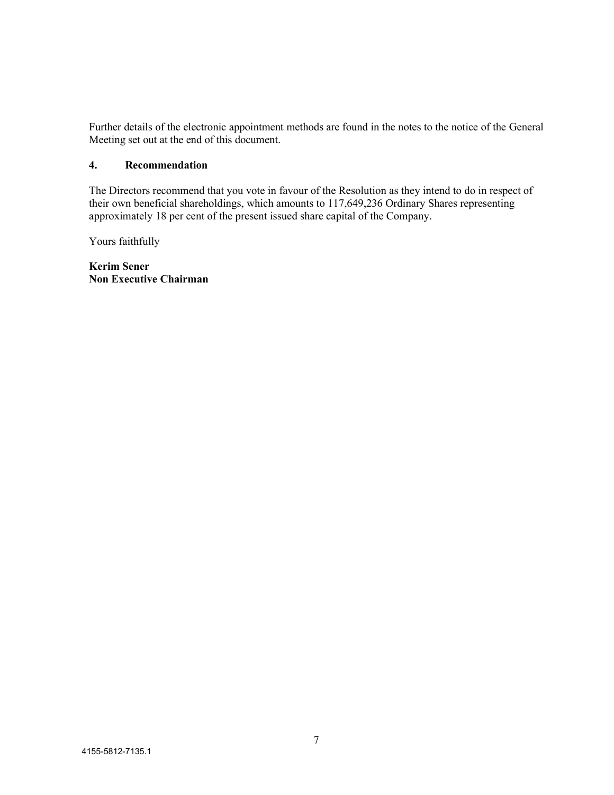Further details of the electronic appointment methods are found in the notes to the notice of the General Meeting set out at the end of this document.

### 4. Recommendation

The Directors recommend that you vote in favour of the Resolution as they intend to do in respect of their own beneficial shareholdings, which amounts to 117,649,236 Ordinary Shares representing approximately 18 per cent of the present issued share capital of the Company.

Yours faithfully

Kerim Sener Non Executive Chairman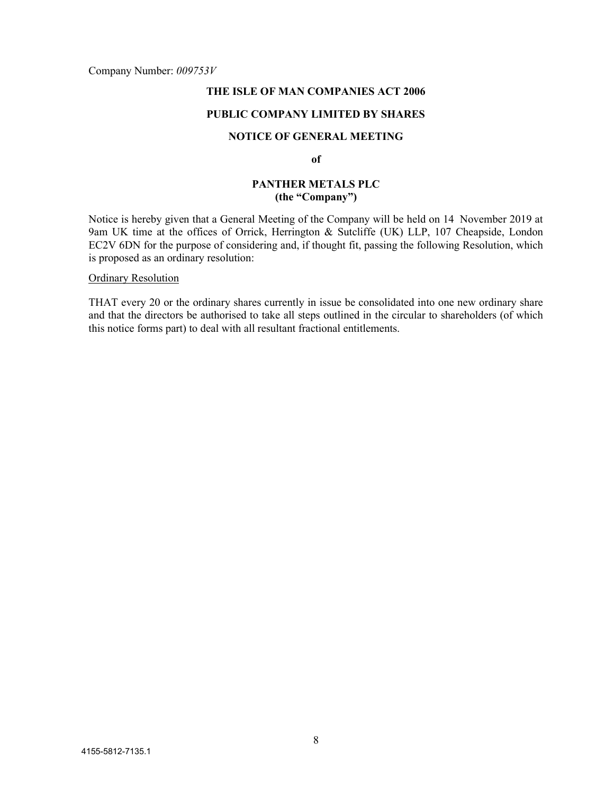Company Number: 009753V

### THE ISLE OF MAN COMPANIES ACT 2006

### PUBLIC COMPANY LIMITED BY SHARES

### NOTICE OF GENERAL MEETING

of

### PANTHER METALS PLC (the "Company")

Notice is hereby given that a General Meeting of the Company will be held on 14 November 2019 at 9am UK time at the offices of Orrick, Herrington & Sutcliffe (UK) LLP, 107 Cheapside, London EC2V 6DN for the purpose of considering and, if thought fit, passing the following Resolution, which is proposed as an ordinary resolution:

#### Ordinary Resolution

THAT every 20 or the ordinary shares currently in issue be consolidated into one new ordinary share and that the directors be authorised to take all steps outlined in the circular to shareholders (of which this notice forms part) to deal with all resultant fractional entitlements.